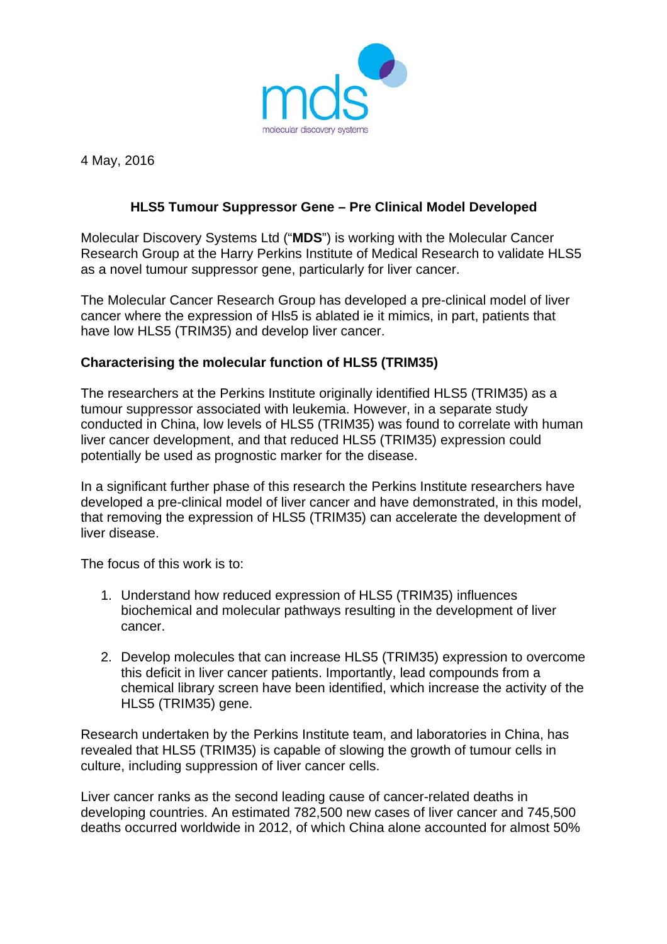

4 May, 2016

## **HLS5 Tumour Suppressor Gene – Pre Clinical Model Developed**

Molecular Discovery Systems Ltd ("**MDS**") is working with the Molecular Cancer Research Group at the Harry Perkins Institute of Medical Research to validate HLS5 as a novel tumour suppressor gene, particularly for liver cancer.

The Molecular Cancer Research Group has developed a pre-clinical model of liver cancer where the expression of Hls5 is ablated ie it mimics, in part, patients that have low HLS5 (TRIM35) and develop liver cancer.

## **Characterising the molecular function of HLS5 (TRIM35)**

The researchers at the Perkins Institute originally identified HLS5 (TRIM35) as a tumour suppressor associated with leukemia. However, in a separate study conducted in China, low levels of HLS5 (TRIM35) was found to correlate with human liver cancer development, and that reduced HLS5 (TRIM35) expression could potentially be used as prognostic marker for the disease.

In a significant further phase of this research the Perkins Institute researchers have developed a pre-clinical model of liver cancer and have demonstrated, in this model, that removing the expression of HLS5 (TRIM35) can accelerate the development of liver disease.

The focus of this work is to:

- 1. Understand how reduced expression of HLS5 (TRIM35) influences biochemical and molecular pathways resulting in the development of liver cancer.
- 2. Develop molecules that can increase HLS5 (TRIM35) expression to overcome this deficit in liver cancer patients. Importantly, lead compounds from a chemical library screen have been identified, which increase the activity of the HLS5 (TRIM35) gene.

Research undertaken by the Perkins Institute team, and laboratories in China, has revealed that HLS5 (TRIM35) is capable of slowing the growth of tumour cells in culture, including suppression of liver cancer cells.

Liver cancer ranks as the second leading cause of cancer-related deaths in developing countries. An estimated 782,500 new cases of liver cancer and 745,500 deaths occurred worldwide in 2012, of which China alone accounted for almost 50%